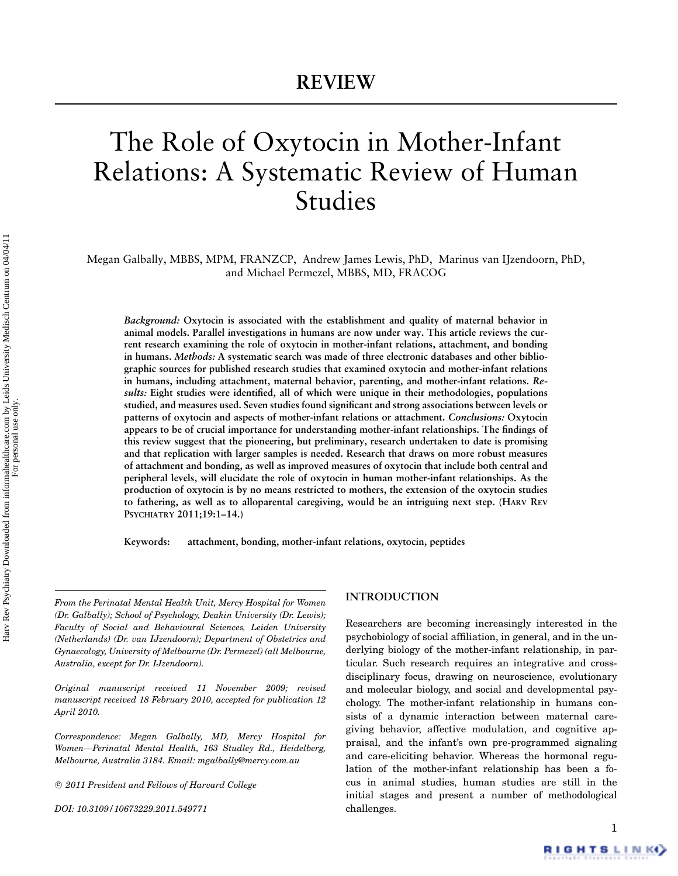# The Role of Oxytocin in Mother-Infant Relations: A Systematic Review of Human Studies

Megan Galbally, MBBS, MPM, FRANZCP, Andrew James Lewis, PhD, Marinus van IJzendoorn, PhD, and Michael Permezel, MBBS, MD, FRACOG

*Background:* **Oxytocin is associated with the establishment and quality of maternal behavior in animal models. Parallel investigations in humans are now under way. This article reviews the current research examining the role of oxytocin in mother-infant relations, attachment, and bonding in humans.** *Methods:* **A systematic search was made of three electronic databases and other bibliographic sources for published research studies that examined oxytocin and mother-infant relations in humans, including attachment, maternal behavior, parenting, and mother-infant relations.** *Results:* **Eight studies were identified, all of which were unique in their methodologies, populations studied, and measures used. Seven studies found significant and strong associations between levels or patterns of oxytocin and aspects of mother-infant relations or attachment.** *Conclusions:* **Oxytocin appears to be of crucial importance for understanding mother-infant relationships. The findings of this review suggest that the pioneering, but preliminary, research undertaken to date is promising and that replication with larger samples is needed. Research that draws on more robust measures of attachment and bonding, as well as improved measures of oxytocin that include both central and peripheral levels, will elucidate the role of oxytocin in human mother-infant relationships. As the production of oxytocin is by no means restricted to mothers, the extension of the oxytocin studies to fathering, as well as to alloparental caregiving, would be an intriguing next step. (HARV REV PSYCHIATRY 2011;19:1–14.)**

**Keywords: attachment, bonding, mother-infant relations, oxytocin, peptides**

*From the Perinatal Mental Health Unit, Mercy Hospital for Women (Dr. Galbally); School of Psychology, Deakin University (Dr. Lewis); Faculty of Social and Behavioural Sciences, Leiden University (Netherlands) (Dr. van IJzendoorn); Department of Obstetrics and Gynaecology, University of Melbourne (Dr. Permezel) (all Melbourne, Australia, except for Dr. IJzendoorn).*

*Original manuscript received 11 November 2009; revised manuscript received 18 February 2010, accepted for publication 12 April 2010.*

*Correspondence: Megan Galbally, MD, Mercy Hospital for Women—Perinatal Mental Health, 163 Studley Rd., Heidelberg, Melbourne, Australia 3184. Email: mgalbally@mercy.com.au*

*DOI: 10.3109/10673229.2011.549771*

## **INTRODUCTION**

Researchers are becoming increasingly interested in the psychobiology of social affiliation, in general, and in the underlying biology of the mother-infant relationship, in particular. Such research requires an integrative and crossdisciplinary focus, drawing on neuroscience, evolutionary and molecular biology, and social and developmental psychology. The mother-infant relationship in humans consists of a dynamic interaction between maternal caregiving behavior, affective modulation, and cognitive appraisal, and the infant's own pre-programmed signaling and care-eliciting behavior. Whereas the hormonal regulation of the mother-infant relationship has been a focus in animal studies, human studies are still in the initial stages and present a number of methodological challenges.

c *2011 President and Fellows of Harvard College*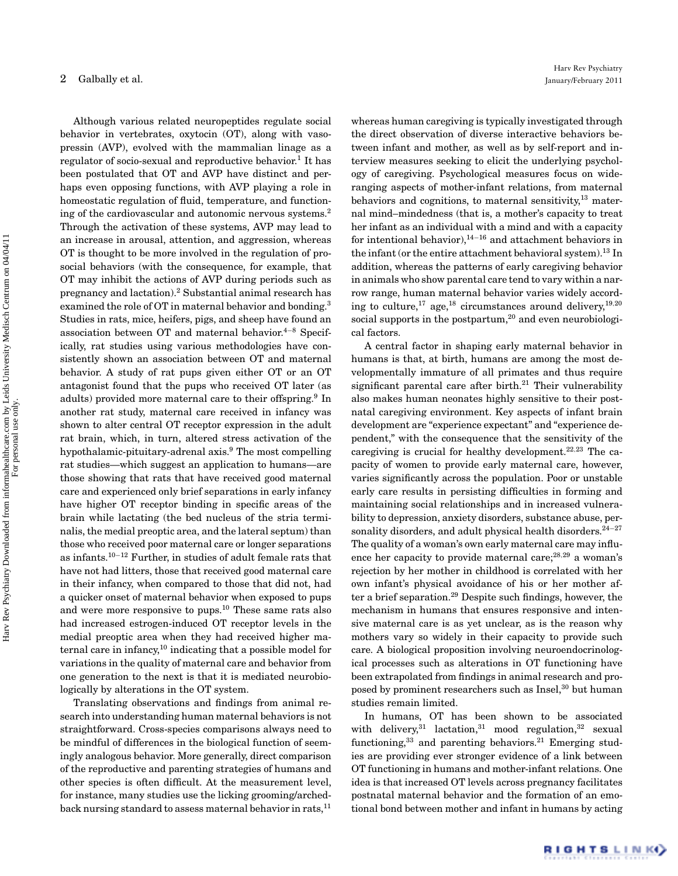Although various related neuropeptides regulate social behavior in vertebrates, oxytocin (OT), along with vasopressin (AVP), evolved with the mammalian linage as a regulator of socio-sexual and reproductive behavior.<sup>1</sup> It has been postulated that OT and AVP have distinct and perhaps even opposing functions, with AVP playing a role in homeostatic regulation of fluid, temperature, and functioning of the cardiovascular and autonomic nervous systems.2 Through the activation of these systems, AVP may lead to an increase in arousal, attention, and aggression, whereas OT is thought to be more involved in the regulation of prosocial behaviors (with the consequence, for example, that OT may inhibit the actions of AVP during periods such as pregnancy and lactation).2 Substantial animal research has examined the role of OT in maternal behavior and bonding.<sup>3</sup> Studies in rats, mice, heifers, pigs, and sheep have found an association between OT and maternal behavior.<sup>4−8</sup> Specifically, rat studies using various methodologies have consistently shown an association between OT and maternal behavior. A study of rat pups given either OT or an OT antagonist found that the pups who received OT later (as adults) provided more maternal care to their offspring.<sup>9</sup> In another rat study, maternal care received in infancy was shown to alter central OT receptor expression in the adult rat brain, which, in turn, altered stress activation of the hypothalamic-pituitary-adrenal axis.9 The most compelling rat studies—which suggest an application to humans—are those showing that rats that have received good maternal care and experienced only brief separations in early infancy have higher OT receptor binding in specific areas of the brain while lactating (the bed nucleus of the stria terminalis, the medial preoptic area, and the lateral septum) than those who received poor maternal care or longer separations as infants.<sup>10</sup>−<sup>12</sup> Further, in studies of adult female rats that have not had litters, those that received good maternal care in their infancy, when compared to those that did not, had a quicker onset of maternal behavior when exposed to pups and were more responsive to pups. $10$  These same rats also had increased estrogen-induced OT receptor levels in the medial preoptic area when they had received higher maternal care in infancy,<sup>10</sup> indicating that a possible model for variations in the quality of maternal care and behavior from one generation to the next is that it is mediated neurobiologically by alterations in the OT system.

Translating observations and findings from animal research into understanding human maternal behaviors is not straightforward. Cross-species comparisons always need to be mindful of differences in the biological function of seemingly analogous behavior. More generally, direct comparison of the reproductive and parenting strategies of humans and other species is often difficult. At the measurement level, for instance, many studies use the licking grooming/archedback nursing standard to assess maternal behavior in rats,<sup>11</sup>

whereas human caregiving is typically investigated through the direct observation of diverse interactive behaviors between infant and mother, as well as by self-report and interview measures seeking to elicit the underlying psychology of caregiving. Psychological measures focus on wideranging aspects of mother-infant relations, from maternal behaviors and cognitions, to maternal sensitivity,<sup>13</sup> maternal mind–mindedness (that is, a mother's capacity to treat her infant as an individual with a mind and with a capacity for intentional behavior), $14-16$  and attachment behaviors in the infant (or the entire attachment behavioral system).<sup>13</sup> In addition, whereas the patterns of early caregiving behavior in animals who show parental care tend to vary within a narrow range, human maternal behavior varies widely according to culture,<sup>17</sup> age,<sup>18</sup> circumstances around delivery,<sup>19,20</sup> social supports in the postpartum, $20$  and even neurobiological factors.

A central factor in shaping early maternal behavior in humans is that, at birth, humans are among the most developmentally immature of all primates and thus require significant parental care after birth.<sup>21</sup> Their vulnerability also makes human neonates highly sensitive to their postnatal caregiving environment. Key aspects of infant brain development are "experience expectant" and "experience dependent," with the consequence that the sensitivity of the caregiving is crucial for healthy development.22*,*<sup>23</sup> The capacity of women to provide early maternal care, however, varies significantly across the population. Poor or unstable early care results in persisting difficulties in forming and maintaining social relationships and in increased vulnerability to depression, anxiety disorders, substance abuse, personality disorders, and adult physical health disorders.<sup>24−27</sup> The quality of a woman's own early maternal care may influence her capacity to provide maternal care;<sup>28</sup>*,*<sup>29</sup> a woman's rejection by her mother in childhood is correlated with her own infant's physical avoidance of his or her mother after a brief separation.<sup>29</sup> Despite such findings, however, the mechanism in humans that ensures responsive and intensive maternal care is as yet unclear, as is the reason why mothers vary so widely in their capacity to provide such care. A biological proposition involving neuroendocrinological processes such as alterations in OT functioning have been extrapolated from findings in animal research and proposed by prominent researchers such as Insel,30 but human studies remain limited.

In humans, OT has been shown to be associated with delivery,  $31$  lactation,  $31$  mood regulation,  $32$  sexual functioning,  $33$  and parenting behaviors. <sup>21</sup> Emerging studies are providing ever stronger evidence of a link between OT functioning in humans and mother-infant relations. One idea is that increased OT levels across pregnancy facilitates postnatal maternal behavior and the formation of an emotional bond between mother and infant in humans by acting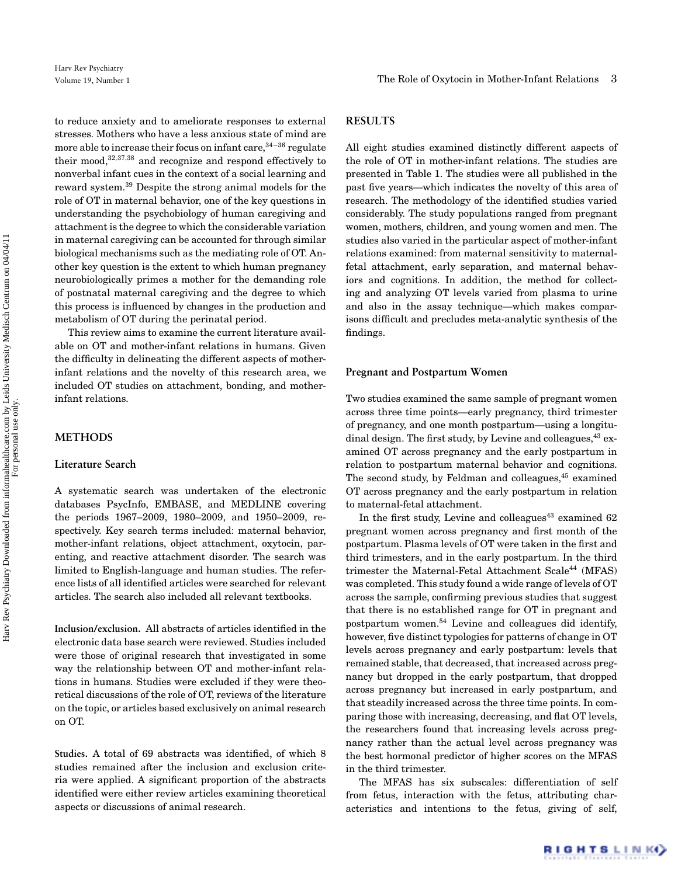to reduce anxiety and to ameliorate responses to external stresses. Mothers who have a less anxious state of mind are more able to increase their focus on infant care,<sup>34−36</sup> regulate their mood,32*,*37*,*<sup>38</sup> and recognize and respond effectively to nonverbal infant cues in the context of a social learning and reward system.<sup>39</sup> Despite the strong animal models for the role of OT in maternal behavior, one of the key questions in understanding the psychobiology of human caregiving and attachment is the degree to which the considerable variation in maternal caregiving can be accounted for through similar biological mechanisms such as the mediating role of OT. Another key question is the extent to which human pregnancy neurobiologically primes a mother for the demanding role of postnatal maternal caregiving and the degree to which this process is influenced by changes in the production and metabolism of OT during the perinatal period.

This review aims to examine the current literature available on OT and mother-infant relations in humans. Given the difficulty in delineating the different aspects of motherinfant relations and the novelty of this research area, we included OT studies on attachment, bonding, and motherinfant relations.

## **METHODS**

#### **Literature Search**

A systematic search was undertaken of the electronic databases PsycInfo, EMBASE, and MEDLINE covering the periods 1967–2009, 1980–2009, and 1950–2009, respectively. Key search terms included: maternal behavior, mother-infant relations, object attachment, oxytocin, parenting, and reactive attachment disorder. The search was limited to English-language and human studies. The reference lists of all identified articles were searched for relevant articles. The search also included all relevant textbooks.

**Inclusion/exclusion.** All abstracts of articles identified in the electronic data base search were reviewed. Studies included were those of original research that investigated in some way the relationship between OT and mother-infant relations in humans. Studies were excluded if they were theoretical discussions of the role of OT, reviews of the literature on the topic, or articles based exclusively on animal research on OT.

**Studies.** A total of 69 abstracts was identified, of which 8 studies remained after the inclusion and exclusion criteria were applied. A significant proportion of the abstracts identified were either review articles examining theoretical aspects or discussions of animal research.

# **RESULTS**

All eight studies examined distinctly different aspects of the role of OT in mother-infant relations. The studies are presented in Table 1. The studies were all published in the past five years—which indicates the novelty of this area of research. The methodology of the identified studies varied considerably. The study populations ranged from pregnant women, mothers, children, and young women and men. The studies also varied in the particular aspect of mother-infant relations examined: from maternal sensitivity to maternalfetal attachment, early separation, and maternal behaviors and cognitions. In addition, the method for collecting and analyzing OT levels varied from plasma to urine and also in the assay technique—which makes comparisons difficult and precludes meta-analytic synthesis of the findings.

## **Pregnant and Postpartum Women**

Two studies examined the same sample of pregnant women across three time points—early pregnancy, third trimester of pregnancy, and one month postpartum—using a longitudinal design. The first study, by Levine and colleagues, <sup>43</sup> examined OT across pregnancy and the early postpartum in relation to postpartum maternal behavior and cognitions. The second study, by Feldman and colleagues,<sup>45</sup> examined OT across pregnancy and the early postpartum in relation to maternal-fetal attachment.

In the first study, Levine and colleagues $43$  examined  $62$ pregnant women across pregnancy and first month of the postpartum. Plasma levels of OT were taken in the first and third trimesters, and in the early postpartum. In the third trimester the Maternal-Fetal Attachment Scale<sup>44</sup> (MFAS) was completed. This study found a wide range of levels of OT across the sample, confirming previous studies that suggest that there is no established range for OT in pregnant and postpartum women.54 Levine and colleagues did identify, however, five distinct typologies for patterns of change in OT levels across pregnancy and early postpartum: levels that remained stable, that decreased, that increased across pregnancy but dropped in the early postpartum, that dropped across pregnancy but increased in early postpartum, and that steadily increased across the three time points. In comparing those with increasing, decreasing, and flat OT levels, the researchers found that increasing levels across pregnancy rather than the actual level across pregnancy was the best hormonal predictor of higher scores on the MFAS in the third trimester.

The MFAS has six subscales: differentiation of self from fetus, interaction with the fetus, attributing characteristics and intentions to the fetus, giving of self,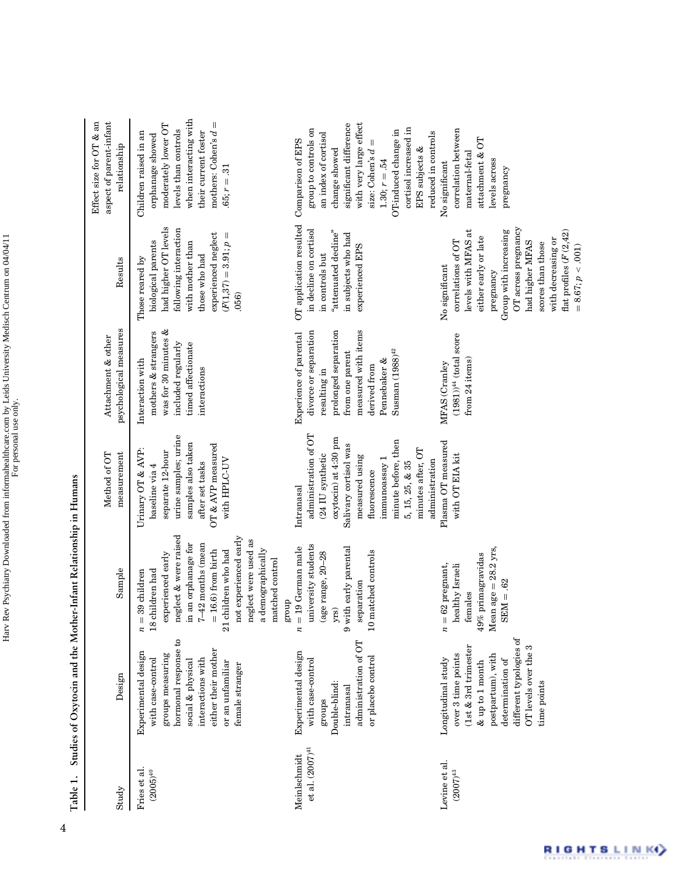| Study                                | Design                                                                                                                                                                                           | Sample                                                                                                                                                                                                                                                                  | Method of OT<br>measurement                                                                                                                                                                                                                                  | psychological measures<br>Attachment & other                                                                                                                                                     | Results                                                                                                                                                                                                                                                            | aspect of parent-infant<br>Effect size for OT & an<br>relationship                                                                                                                                                                                                         |
|--------------------------------------|--------------------------------------------------------------------------------------------------------------------------------------------------------------------------------------------------|-------------------------------------------------------------------------------------------------------------------------------------------------------------------------------------------------------------------------------------------------------------------------|--------------------------------------------------------------------------------------------------------------------------------------------------------------------------------------------------------------------------------------------------------------|--------------------------------------------------------------------------------------------------------------------------------------------------------------------------------------------------|--------------------------------------------------------------------------------------------------------------------------------------------------------------------------------------------------------------------------------------------------------------------|----------------------------------------------------------------------------------------------------------------------------------------------------------------------------------------------------------------------------------------------------------------------------|
| Fries et al.<br>$(2005)^{40}$        | hormonal response to<br>either their mother<br>Experimental design<br>groups measuring<br>interactions with<br>with case-control<br>social & physical<br>or an unfamiliar<br>female stranger     | neglect & were raised<br>not experienced early<br>neglect were used as<br>in an orphanage for<br>7-42 months (mean<br>a demographically<br>$= 16.6$ ) from birth<br>21 children who had<br>experienced early<br>matched control<br>18 children had<br>$n = 39$ children | urine samples; urine<br>samples also taken<br>OT & AVP measured<br>Urinary OT & AVP:<br>separate 12-hour<br>with HPLC-UV<br>after set tasks<br>baseline via 4                                                                                                | was for 30 minutes &<br>mothers & strangers<br>included regularly<br>timed affectionate<br>Interaction with<br>interactions                                                                      | had higher OT levels<br>following interaction<br>experienced neglect<br>$(F(1,37) = 3.91; p =$<br>biological parents<br>with mother than<br>those who had<br>Those reared by<br>.056)                                                                              | when interacting with<br>mothers: Cohen's $d =$<br>moderately lower OT<br>levels than controls<br>their current foster<br>Children raised in an<br>orphanage showed<br>$65; r = .31$                                                                                       |
| et al. $(2007)^{41}$<br>Meinlschmidt | administration of OT<br>Experimental design<br>or placebo control<br>with case-control<br>Double-blind:<br>intranasal<br>groups                                                                  | university students<br>$n=19$ German male<br>9 with early parental<br>(age range, 20-28<br>10 matched controls<br>separation<br>group<br>yrs                                                                                                                            | administration of OT<br>oxytocin) at 4:30 pm<br>minute before, then<br>Salivary cortisol was<br>minutes after, OT<br>$(24\ {\rm IU}\ {\rm synthetic}$<br>measured using<br>immunoassay 1<br>administration<br>5, 15, 25, 8, 35<br>fluorescence<br>Intranasal | prolonged separation<br>measured with items<br>divorce or separation<br>Experience of parental<br>Susman (1988) <sup>42</sup><br>from one parent<br>Pennebaker &<br>derived from<br>resulting in | OT application resulted<br>in decline on cortisol<br>"attenuated decline"<br>in subjects who had<br>experienced EPS<br>in controls but                                                                                                                             | with very large effect<br>significant difference<br>cortisol increased in<br>group to controls on<br>OT-induced change in<br>reduced in controls<br>an index of cortisol<br>Comparison of EPS<br>size: Cohen's $d =$<br>EPS subjects &<br>change showed<br>$1.30; r = .54$ |
| Levine et al.<br>$(2007)^{43}$       | different typologies of<br>$(1st & 3rd$ trimester<br>OT levels over the 3<br>over 3 time points<br>postpartum), with<br>Longitudinal study<br>determination of<br>& up to 1 month<br>time points | Mean age $= 28.2$ yrs,<br>49% primagravidas<br>$n=62$ pregnant,<br>healthy Israeli<br>$SEM = .62$<br>females                                                                                                                                                            | Plasma OT measured<br>with OT EIA kit                                                                                                                                                                                                                        | $(1981)^{44}$ (total score<br>from 24 items)<br>MFAS (Cranley                                                                                                                                    | OT across pregnancy<br>levels with MFAS at<br>flat profiles $(F\ (2,42)$<br>Group with increasing<br>either early or late<br>with decreasing or<br>correlations of OT<br>had higher MFAS<br>scores than those<br>$= 8.67; p < .001$<br>No significant<br>pregnancy | correlation between<br>attachment & OT<br>maternal-fetal<br>levels across<br>No significant<br>pregnancy                                                                                                                                                                   |

Table 1. Studies of Oxytocin and the Mother-Infant Relationship in Humans **Table 1. Studies of Oxytocin and the Mother-Infant Relationship in Humans**

Harv Rev Psychiatry Downloaded from informahealthcare.com by Leids University Medisch Centrum on 04/04/11 For personal use only.

Harv Rev Psychiatry Downloaded from informahealthcare.com by Leids University Medisch Centrum on 04/04/11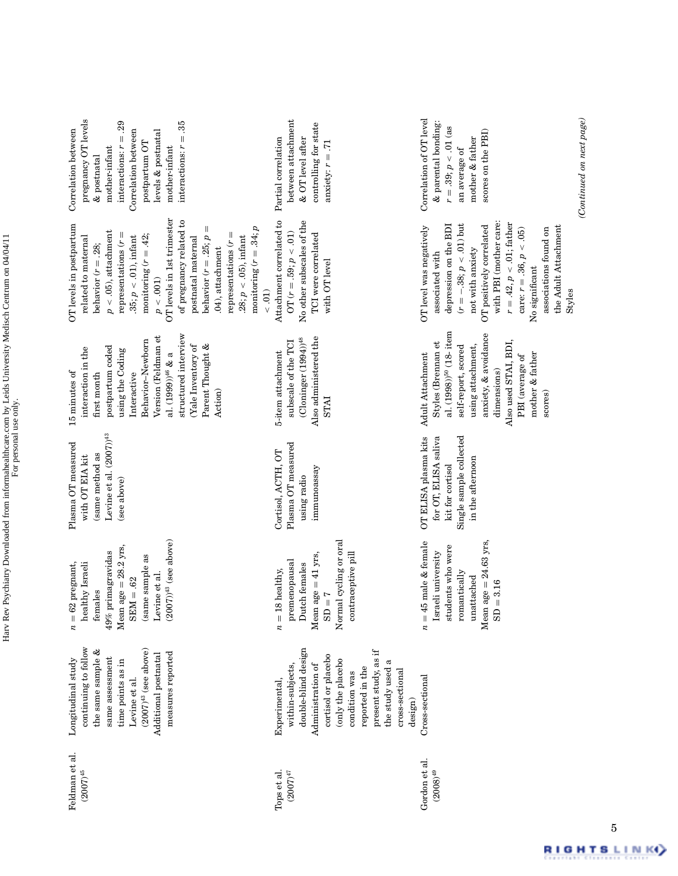| Feldman et al.                 | Longitudinal study                                                                                                                                                                                                                      | $n = 62$ pregnant,                                                                                                                                                | Plasma OT measured                                                                                              | 15 minutes of                                                                                                                                                                                                                              | OT levels in postpartum                                                                                                                                                                                                                                                                                                                                                                         | Correlation between                                                                                                                                                                        |
|--------------------------------|-----------------------------------------------------------------------------------------------------------------------------------------------------------------------------------------------------------------------------------------|-------------------------------------------------------------------------------------------------------------------------------------------------------------------|-----------------------------------------------------------------------------------------------------------------|--------------------------------------------------------------------------------------------------------------------------------------------------------------------------------------------------------------------------------------------|-------------------------------------------------------------------------------------------------------------------------------------------------------------------------------------------------------------------------------------------------------------------------------------------------------------------------------------------------------------------------------------------------|--------------------------------------------------------------------------------------------------------------------------------------------------------------------------------------------|
| $(2007)^{45}$                  | continuing to follow<br>the same sample &<br>$(2007)^{43}$ (see above)<br>measures reported<br>Additional postnatal<br>same assessment<br>time points as in<br>Levine et al.                                                            | $(2007))^{43}$ (see above)<br>Mean age $= 28.2$ yrs,<br>49% primagravidas<br>(same sample as<br>healthy Israeli<br>Levine et al.<br>${\rm SEMI} = .62$<br>females | Levine et al. $(2007))$ <sup>43</sup><br>(same method as<br>with OT EIA kit<br>(see above)                      | structured interview<br>Version (Feldman et<br>Behavior-Newborn<br>Parent Thought &<br>(Yale Inventory of<br>postpartum coded<br>interaction in the<br>using the Coding<br>al. $(1999))^{46}$ & a<br>Interactive<br>first month<br>Action) | OT levels in 1st trimester<br>of pregnancy related to<br>monitoring $(r=.34; p$<br>$p < .05$ ), attachment<br>representations $(r =$<br>representations $(r =$<br>monitoring $(r = .42;$<br>$.35; p < .01$ ), infant<br>.28; $p <$ .05), infant<br>behavior ( $r = .25$ ; $p$<br>related to maternal<br>postnatal maternal<br>behavior $(r=.28;$<br>.04), attachment<br>$p < .001)$<br>$< .01)$ | pregnancy OT levels<br>29<br>interactions: $r = .35$<br>Correlation between<br>levels & postnatal<br>interactions: $r =$<br>postpartum OT<br>mother-infant<br>mother-infant<br>& postnatal |
| $(2007)^{47}$<br>Tops et al.   | double-blind design<br>present study, as if<br>cortisol or placebo<br>(only the placebo<br>the study used a<br>Administration of<br>within-subjects,<br>reported in the<br>cross-sectional<br>condition was<br>Experimental,<br>design) | Normal cycling or oral<br>contraceptive pill<br>Mean age $= 41$ yrs,<br>premenopausal<br>Dutch females<br>8 healthy,<br>$\frac{7}{1}$<br>$n=1$<br>$\mathbf{g}$    | Plasma OT measured<br>Cortisol, ACTH, OT<br>immunoassay<br>using radio                                          | ${\rm (Cloninger~(1994))^{48}}$<br>Also administered the<br>subscale of the TCI<br>5-item attachment<br><b>STAI</b>                                                                                                                        | Attachment correlated to<br>No other subscales of the<br>$OT(r = .59; p < .01)$<br>TCI were correlated<br>with OT level                                                                                                                                                                                                                                                                         | between attachment<br>controlling for state<br>Partial correlation<br>& OT level after<br>anxiety: $r = .71$                                                                               |
| Gordon et al.<br>$(2008)^{49}$ | Cross-sectional                                                                                                                                                                                                                         | $n = 45$ male & female<br>Mean age $= 24.63$ yrs,<br>students who were<br>Israeli university<br>romantically<br>unattached<br>$= 3.16$<br>SD                      | Single sample collected<br>OT ELISA plasma kits<br>for OT, ELISA saliva<br>in the afternoon<br>kit for cortisol | al. (1998)) <sup>50</sup> (18-item<br>anxiety, & avoidance<br>Also used STAI, BDI,<br>Styles (Brennan et<br>using attachment,<br>self-report, scored<br>Adult Attachment<br>mother & father<br>PBI (average of<br>dimensions)<br>scores)   | with PBI (mother care:<br>$r = .42$ , $p < .01$ ; father<br>$(r = -.38; p < .01)$ but<br>the Adult Attachment<br>depression on the BDI<br>OT positively correlated<br>OT level was negatively<br>associations found on<br>care: $r = .36$ , $p < .05$ )<br>not with anxiety<br>associated with<br>No significant<br>Styles                                                                      | Correlation of OT level<br>& parental bonding:<br>$r = .39; p < .01$ (as<br>scores on the PBI)<br>mother & father<br>an average of                                                         |
|                                |                                                                                                                                                                                                                                         |                                                                                                                                                                   |                                                                                                                 |                                                                                                                                                                                                                                            |                                                                                                                                                                                                                                                                                                                                                                                                 | (Continued on next page)                                                                                                                                                                   |

5<br>RIGHTSLINK()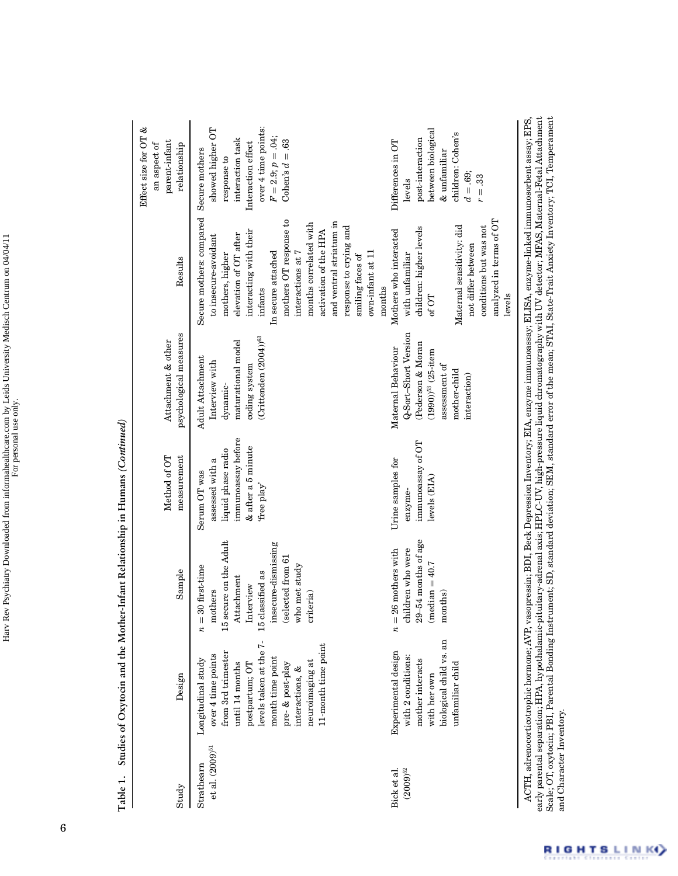| Effect size for OT &<br>parent-infant<br>relationship<br>an aspect of | over 4 time points:<br>showed higher OT<br>$F = 2.9; p = .04;$<br>interaction task<br>Cohen's $d = .63$<br>Interaction effect<br>Secure mothers<br>response to                                                                                                                                                                                                   | between biological<br>children: Cohen's<br>post-interaction<br>Differences in OT<br>& unfamiliar<br>$d = .69;$<br>$r = .33$<br>levels                                                           |
|-----------------------------------------------------------------------|------------------------------------------------------------------------------------------------------------------------------------------------------------------------------------------------------------------------------------------------------------------------------------------------------------------------------------------------------------------|-------------------------------------------------------------------------------------------------------------------------------------------------------------------------------------------------|
| Results                                                               | Secure mothers: compared<br>mothers OT response to<br>and ventral striatum in<br>months correlated with<br>response to crying and<br>interacting with their<br>activation of the HPA<br>elevation of OT after<br>to insecure-avoidant<br>In secure attached<br>interactions at 7<br>own-infant at 11<br>mothers, higher<br>smiling faces of<br>infants<br>months | analyzed in terms of OT<br>conditions but was not<br>Maternal sensitivity: did<br>children: higher levels<br>Mothers who interacted<br>not differ between<br>with unfamiliar<br>levels<br>of OT |
| psychological measures<br>Attachment & other                          | $($ Crittenden $(2004)$ ) <sup>63</sup><br>maturational model<br>Adult Attachment<br>Interview with<br>coding system<br>dynamic-                                                                                                                                                                                                                                 | Q-Sort-Short Version<br>Pederson & Moran<br>Maternal Behaviour<br>$(1990)$ <sup>53</sup> $(25$ -item<br>assessment of<br>mother-child<br>interaction)                                           |
| measurement<br>Method of OT                                           | immunoassay before<br>& after a 5 minute<br>liquid phase radio<br>assessed with a<br>Serum OT was<br>free play'                                                                                                                                                                                                                                                  | immunoassay of OT<br>Urine samples for<br>levels (EIA)<br>enzyme-                                                                                                                               |
| Sample                                                                | 15 secure on the Adult<br>insecure-dismissing<br>(selected from 61<br>who met study<br>30 first-time<br>15 classified as<br>Attachment<br>nterview<br>mothers<br>criteria)<br>$\overline{n}$                                                                                                                                                                     | 29-54 months of age<br>26 mothers with<br>children who were<br>$(median = 40.7)$<br>months)<br>$\overline{n}$ =                                                                                 |
| Design                                                                | levels taken at the 7-<br>11-month time point<br>from 3rd trimester<br>over 4 time points<br>month time point<br>Longitudinal study<br>neuroimaging at<br>until 14 months<br>pre- & post-play<br>postpartum; OT<br>interactions, &                                                                                                                               | biological child vs. an<br>Experimental design<br>with 2 conditions:<br>mother interacts<br>unfamiliar child<br>with her own                                                                    |
| Study                                                                 | $et$ al. $(2009)^{51}$<br>Strathearn                                                                                                                                                                                                                                                                                                                             | Bick et al.<br>$(2009)^{\rm 52}$                                                                                                                                                                |

Table 1. Studies of Oxytocin and the Mother-Infant Relationship in Humans (Continued) Table 1. Studies of Oxytocin and the Mother-Infant Relationship in Humans (Continued)

ACTH, adrenocorticotrophic hormone; AVP, vasopressin; BDI, Beck Depression Inventory; EIA, enzyme immunoassay; ELISA, enzyme-linked immunosorbent assay; EPS,<br>early parental separation; HPA, hypothalamic-pituitary-adrenal a ACTH, adrenocorticotrophic hormone; AVP, vasopressin; BDI, Beck Depression Inventory; EIA, enzyme immunoassay; ELISA, enzyme-linked immunosorbent assay; EPS, early parental separation; HPA, hypothalamic-pituitary-adrenal axis; HPLC-UV, high-pressure liquid chromatography with UV detector; MFAS, Maternal-Fetal Attachment Scale; OT, oxytocin; PBI, Parental Bonding Instrument; SD, standard deviation; SEM, standard error of the mean; STAI, State-Trait Anxiety Inventory; TCI, Temperament and Character Inventory.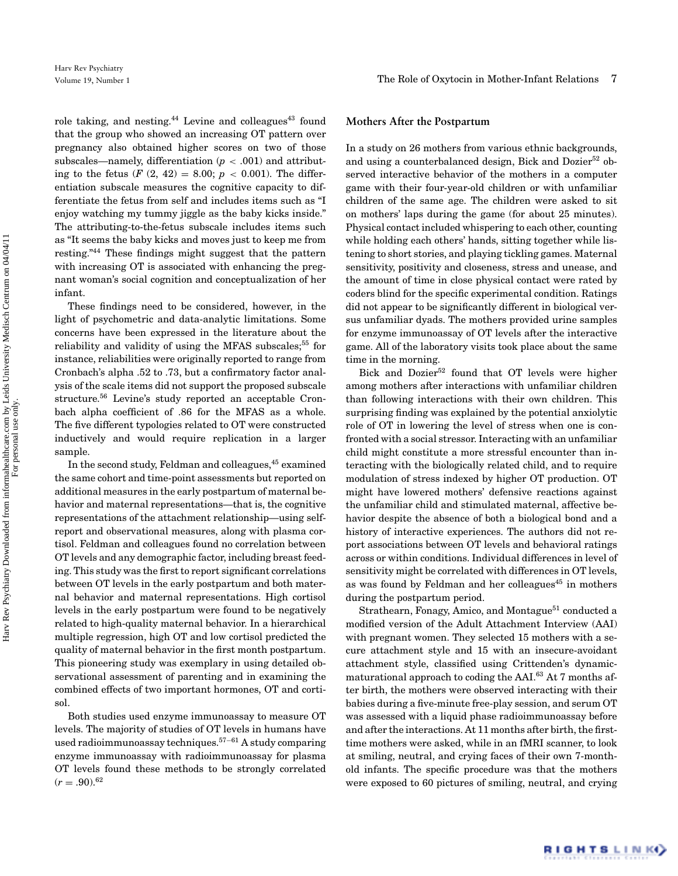role taking, and nesting.<sup>44</sup> Levine and colleagues<sup>43</sup> found that the group who showed an increasing OT pattern over pregnancy also obtained higher scores on two of those subscales—namely, differentiation  $(p < .001)$  and attributing to the fetus  $(F (2, 42) = 8.00; p < 0.001)$ . The differentiation subscale measures the cognitive capacity to differentiate the fetus from self and includes items such as "I enjoy watching my tummy jiggle as the baby kicks inside." The attributing-to-the-fetus subscale includes items such as "It seems the baby kicks and moves just to keep me from resting."<sup>44</sup> These findings might suggest that the pattern with increasing OT is associated with enhancing the pregnant woman's social cognition and conceptualization of her infant.

These findings need to be considered, however, in the light of psychometric and data-analytic limitations. Some concerns have been expressed in the literature about the reliability and validity of using the MFAS subscales;<sup>55</sup> for instance, reliabilities were originally reported to range from Cronbach's alpha .52 to .73, but a confirmatory factor analysis of the scale items did not support the proposed subscale structure.56 Levine's study reported an acceptable Cronbach alpha coefficient of .86 for the MFAS as a whole. The five different typologies related to OT were constructed inductively and would require replication in a larger sample.

In the second study, Feldman and colleagues,<sup>45</sup> examined the same cohort and time-point assessments but reported on additional measures in the early postpartum of maternal behavior and maternal representations—that is, the cognitive representations of the attachment relationship—using selfreport and observational measures, along with plasma cortisol. Feldman and colleagues found no correlation between OT levels and any demographic factor, including breast feeding. This study was the first to report significant correlations between OT levels in the early postpartum and both maternal behavior and maternal representations. High cortisol levels in the early postpartum were found to be negatively related to high-quality maternal behavior. In a hierarchical multiple regression, high OT and low cortisol predicted the quality of maternal behavior in the first month postpartum. This pioneering study was exemplary in using detailed observational assessment of parenting and in examining the combined effects of two important hormones, OT and cortisol.

Both studies used enzyme immunoassay to measure OT levels. The majority of studies of OT levels in humans have used radioimmunoassay techniques.57−<sup>61</sup> A study comparing enzyme immunoassay with radioimmunoassay for plasma OT levels found these methods to be strongly correlated  $(r=.90).<sup>62</sup>$ 

## **Mothers After the Postpartum**

In a study on 26 mothers from various ethnic backgrounds, and using a counterbalanced design, Bick and Dozier<sup>52</sup> observed interactive behavior of the mothers in a computer game with their four-year-old children or with unfamiliar children of the same age. The children were asked to sit on mothers' laps during the game (for about 25 minutes). Physical contact included whispering to each other, counting while holding each others' hands, sitting together while listening to short stories, and playing tickling games. Maternal sensitivity, positivity and closeness, stress and unease, and the amount of time in close physical contact were rated by coders blind for the specific experimental condition. Ratings did not appear to be significantly different in biological versus unfamiliar dyads. The mothers provided urine samples for enzyme immunoassay of OT levels after the interactive game. All of the laboratory visits took place about the same time in the morning.

Bick and Dozier<sup>52</sup> found that OT levels were higher among mothers after interactions with unfamiliar children than following interactions with their own children. This surprising finding was explained by the potential anxiolytic role of OT in lowering the level of stress when one is confronted with a social stressor. Interacting with an unfamiliar child might constitute a more stressful encounter than interacting with the biologically related child, and to require modulation of stress indexed by higher OT production. OT might have lowered mothers' defensive reactions against the unfamiliar child and stimulated maternal, affective behavior despite the absence of both a biological bond and a history of interactive experiences. The authors did not report associations between OT levels and behavioral ratings across or within conditions. Individual differences in level of sensitivity might be correlated with differences in OT levels, as was found by Feldman and her colleagues<sup>45</sup> in mothers during the postpartum period.

Strathearn, Fonagy, Amico, and Montague<sup>51</sup> conducted a modified version of the Adult Attachment Interview (AAI) with pregnant women. They selected 15 mothers with a secure attachment style and 15 with an insecure-avoidant attachment style, classified using Crittenden's dynamicmaturational approach to coding the AAI.63 At 7 months after birth, the mothers were observed interacting with their babies during a five-minute free-play session, and serum OT was assessed with a liquid phase radioimmunoassay before and after the interactions. At 11 months after birth, the firsttime mothers were asked, while in an fMRI scanner, to look at smiling, neutral, and crying faces of their own 7-monthold infants. The specific procedure was that the mothers were exposed to 60 pictures of smiling, neutral, and crying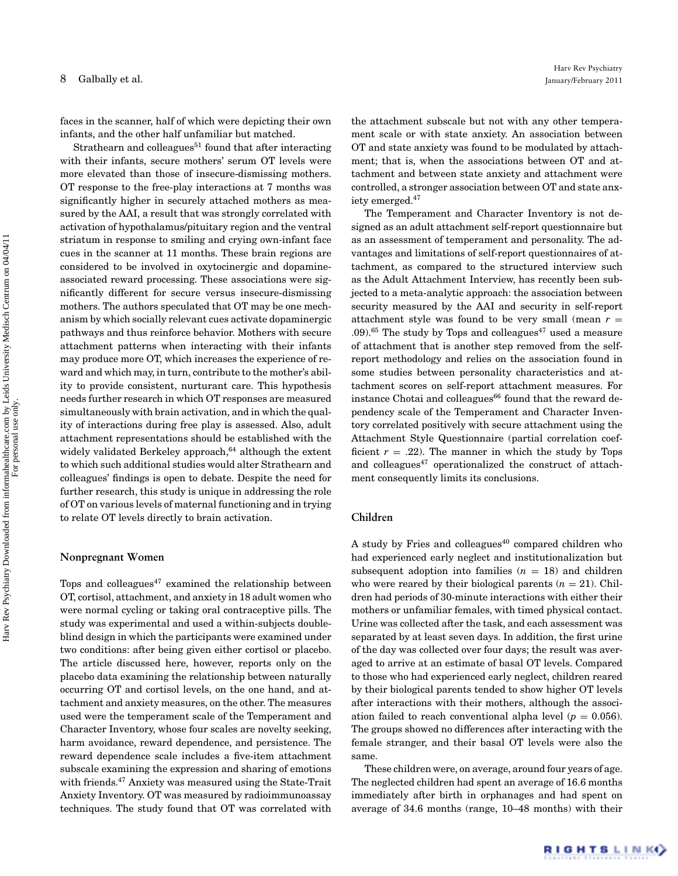faces in the scanner, half of which were depicting their own infants, and the other half unfamiliar but matched.

Strathearn and colleagues<sup>51</sup> found that after interacting with their infants, secure mothers' serum OT levels were more elevated than those of insecure-dismissing mothers. OT response to the free-play interactions at 7 months was significantly higher in securely attached mothers as measured by the AAI, a result that was strongly correlated with activation of hypothalamus/pituitary region and the ventral striatum in response to smiling and crying own-infant face cues in the scanner at 11 months. These brain regions are considered to be involved in oxytocinergic and dopamineassociated reward processing. These associations were significantly different for secure versus insecure-dismissing mothers. The authors speculated that OT may be one mechanism by which socially relevant cues activate dopaminergic pathways and thus reinforce behavior. Mothers with secure attachment patterns when interacting with their infants may produce more OT, which increases the experience of reward and which may, in turn, contribute to the mother's ability to provide consistent, nurturant care. This hypothesis needs further research in which OT responses are measured simultaneously with brain activation, and in which the quality of interactions during free play is assessed. Also, adult attachment representations should be established with the widely validated Berkeley approach, $64$  although the extent to which such additional studies would alter Strathearn and colleagues' findings is open to debate. Despite the need for further research, this study is unique in addressing the role of OT on various levels of maternal functioning and in trying to relate OT levels directly to brain activation.

#### **Nonpregnant Women**

Tops and colleagues $47$  examined the relationship between OT, cortisol, attachment, and anxiety in 18 adult women who were normal cycling or taking oral contraceptive pills. The study was experimental and used a within-subjects doubleblind design in which the participants were examined under two conditions: after being given either cortisol or placebo. The article discussed here, however, reports only on the placebo data examining the relationship between naturally occurring OT and cortisol levels, on the one hand, and attachment and anxiety measures, on the other. The measures used were the temperament scale of the Temperament and Character Inventory, whose four scales are novelty seeking, harm avoidance, reward dependence, and persistence. The reward dependence scale includes a five-item attachment subscale examining the expression and sharing of emotions with friends.<sup>47</sup> Anxiety was measured using the State-Trait Anxiety Inventory. OT was measured by radioimmunoassay techniques. The study found that OT was correlated with

the attachment subscale but not with any other temperament scale or with state anxiety. An association between OT and state anxiety was found to be modulated by attachment; that is, when the associations between OT and attachment and between state anxiety and attachment were controlled, a stronger association between OT and state anxiety emerged.47

The Temperament and Character Inventory is not designed as an adult attachment self-report questionnaire but as an assessment of temperament and personality. The advantages and limitations of self-report questionnaires of attachment, as compared to the structured interview such as the Adult Attachment Interview, has recently been subjected to a meta-analytic approach: the association between security measured by the AAI and security in self-report attachment style was found to be very small (mean  $r =$ .09).<sup>65</sup> The study by Tops and colleagues<sup>47</sup> used a measure of attachment that is another step removed from the selfreport methodology and relies on the association found in some studies between personality characteristics and attachment scores on self-report attachment measures. For instance Chotai and colleagues $^{66}$  found that the reward dependency scale of the Temperament and Character Inventory correlated positively with secure attachment using the Attachment Style Questionnaire (partial correlation coefficient  $r = .22$ ). The manner in which the study by Tops and colleagues $47$  operationalized the construct of attachment consequently limits its conclusions.

# **Children**

A study by Fries and colleagues<sup>40</sup> compared children who had experienced early neglect and institutionalization but subsequent adoption into families  $(n = 18)$  and children who were reared by their biological parents  $(n = 21)$ . Children had periods of 30-minute interactions with either their mothers or unfamiliar females, with timed physical contact. Urine was collected after the task, and each assessment was separated by at least seven days. In addition, the first urine of the day was collected over four days; the result was averaged to arrive at an estimate of basal OT levels. Compared to those who had experienced early neglect, children reared by their biological parents tended to show higher OT levels after interactions with their mothers, although the association failed to reach conventional alpha level ( $p = 0.056$ ). The groups showed no differences after interacting with the female stranger, and their basal OT levels were also the same.

These children were, on average, around four years of age. The neglected children had spent an average of 16.6 months immediately after birth in orphanages and had spent on average of 34.6 months (range, 10–48 months) with their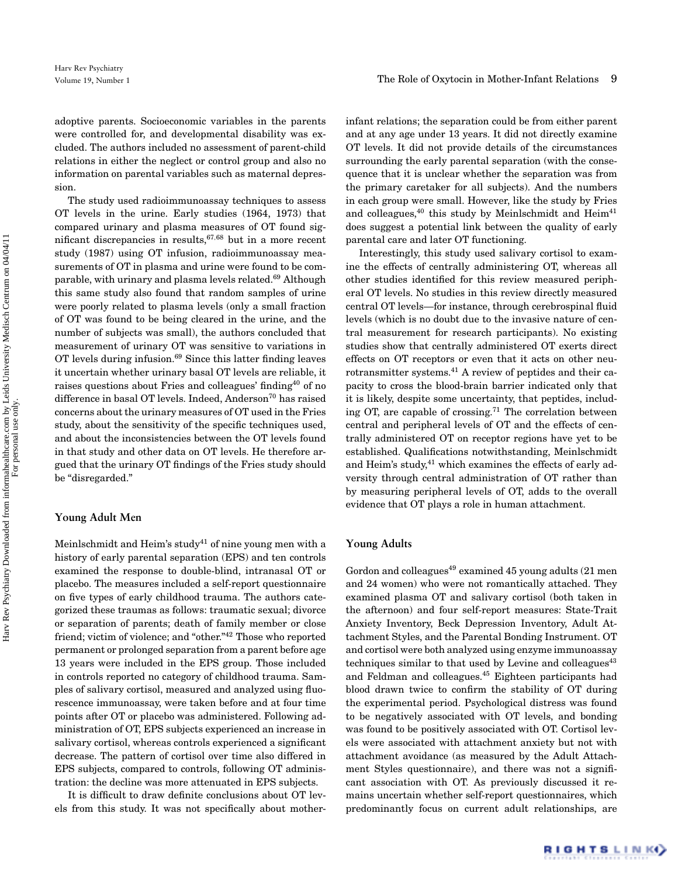adoptive parents. Socioeconomic variables in the parents were controlled for, and developmental disability was excluded. The authors included no assessment of parent-child relations in either the neglect or control group and also no information on parental variables such as maternal depression.

The study used radioimmunoassay techniques to assess OT levels in the urine. Early studies (1964, 1973) that compared urinary and plasma measures of OT found significant discrepancies in results,67*,*<sup>68</sup> but in a more recent study (1987) using OT infusion, radioimmunoassay measurements of OT in plasma and urine were found to be comparable, with urinary and plasma levels related.<sup>69</sup> Although this same study also found that random samples of urine were poorly related to plasma levels (only a small fraction of OT was found to be being cleared in the urine, and the number of subjects was small), the authors concluded that measurement of urinary OT was sensitive to variations in OT levels during infusion.<sup>69</sup> Since this latter finding leaves it uncertain whether urinary basal OT levels are reliable, it raises questions about Fries and colleagues' finding<sup>40</sup> of no difference in basal OT levels. Indeed, Anderson<sup>70</sup> has raised concerns about the urinary measures of OT used in the Fries study, about the sensitivity of the specific techniques used, and about the inconsistencies between the OT levels found in that study and other data on OT levels. He therefore argued that the urinary OT findings of the Fries study should be "disregarded."

## **Young Adult Men**

Meinlschmidt and Heim's study<sup>41</sup> of nine young men with a history of early parental separation (EPS) and ten controls examined the response to double-blind, intranasal OT or placebo. The measures included a self-report questionnaire on five types of early childhood trauma. The authors categorized these traumas as follows: traumatic sexual; divorce or separation of parents; death of family member or close friend; victim of violence; and "other."42 Those who reported permanent or prolonged separation from a parent before age 13 years were included in the EPS group. Those included in controls reported no category of childhood trauma. Samples of salivary cortisol, measured and analyzed using fluorescence immunoassay, were taken before and at four time points after OT or placebo was administered. Following administration of OT, EPS subjects experienced an increase in salivary cortisol, whereas controls experienced a significant decrease. The pattern of cortisol over time also differed in EPS subjects, compared to controls, following OT administration: the decline was more attenuated in EPS subjects.

It is difficult to draw definite conclusions about OT levels from this study. It was not specifically about motherinfant relations; the separation could be from either parent and at any age under 13 years. It did not directly examine OT levels. It did not provide details of the circumstances surrounding the early parental separation (with the consequence that it is unclear whether the separation was from the primary caretaker for all subjects). And the numbers in each group were small. However, like the study by Fries and colleagues,<sup>40</sup> this study by Meinlschmidt and Heim<sup>41</sup> does suggest a potential link between the quality of early parental care and later OT functioning.

Interestingly, this study used salivary cortisol to examine the effects of centrally administering OT, whereas all other studies identified for this review measured peripheral OT levels. No studies in this review directly measured central OT levels—for instance, through cerebrospinal fluid levels (which is no doubt due to the invasive nature of central measurement for research participants). No existing studies show that centrally administered OT exerts direct effects on OT receptors or even that it acts on other neurotransmitter systems.<sup>41</sup> A review of peptides and their capacity to cross the blood-brain barrier indicated only that it is likely, despite some uncertainty, that peptides, including OT, are capable of crossing.71 The correlation between central and peripheral levels of OT and the effects of centrally administered OT on receptor regions have yet to be established. Qualifications notwithstanding, Meinlschmidt and Heim's study, $41$  which examines the effects of early adversity through central administration of OT rather than by measuring peripheral levels of OT, adds to the overall evidence that OT plays a role in human attachment.

#### **Young Adults**

Gordon and colleagues $49$  examined  $45$  young adults (21 men and 24 women) who were not romantically attached. They examined plasma OT and salivary cortisol (both taken in the afternoon) and four self-report measures: State-Trait Anxiety Inventory, Beck Depression Inventory, Adult Attachment Styles, and the Parental Bonding Instrument. OT and cortisol were both analyzed using enzyme immunoassay techniques similar to that used by Levine and colleagues<sup>43</sup> and Feldman and colleagues.45 Eighteen participants had blood drawn twice to confirm the stability of OT during the experimental period. Psychological distress was found to be negatively associated with OT levels, and bonding was found to be positively associated with OT. Cortisol levels were associated with attachment anxiety but not with attachment avoidance (as measured by the Adult Attachment Styles questionnaire), and there was not a significant association with OT. As previously discussed it remains uncertain whether self-report questionnaires, which predominantly focus on current adult relationships, are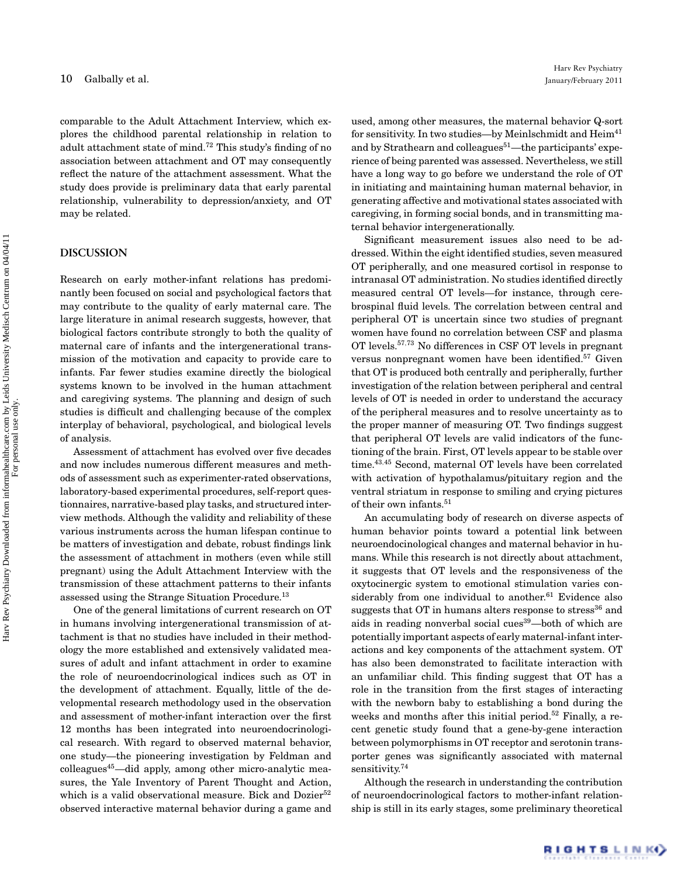comparable to the Adult Attachment Interview, which explores the childhood parental relationship in relation to adult attachment state of mind.72 This study's finding of no association between attachment and OT may consequently reflect the nature of the attachment assessment. What the study does provide is preliminary data that early parental relationship, vulnerability to depression/anxiety, and OT may be related.

## **DISCUSSION**

Research on early mother-infant relations has predominantly been focused on social and psychological factors that may contribute to the quality of early maternal care. The large literature in animal research suggests, however, that biological factors contribute strongly to both the quality of maternal care of infants and the intergenerational transmission of the motivation and capacity to provide care to infants. Far fewer studies examine directly the biological systems known to be involved in the human attachment and caregiving systems. The planning and design of such studies is difficult and challenging because of the complex interplay of behavioral, psychological, and biological levels of analysis.

Assessment of attachment has evolved over five decades and now includes numerous different measures and methods of assessment such as experimenter-rated observations, laboratory-based experimental procedures, self-report questionnaires, narrative-based play tasks, and structured interview methods. Although the validity and reliability of these various instruments across the human lifespan continue to be matters of investigation and debate, robust findings link the assessment of attachment in mothers (even while still pregnant) using the Adult Attachment Interview with the transmission of these attachment patterns to their infants assessed using the Strange Situation Procedure.<sup>13</sup>

One of the general limitations of current research on OT in humans involving intergenerational transmission of attachment is that no studies have included in their methodology the more established and extensively validated measures of adult and infant attachment in order to examine the role of neuroendocrinological indices such as OT in the development of attachment. Equally, little of the developmental research methodology used in the observation and assessment of mother-infant interaction over the first 12 months has been integrated into neuroendocrinological research. With regard to observed maternal behavior, one study—the pioneering investigation by Feldman and colleagues45—did apply, among other micro-analytic measures, the Yale Inventory of Parent Thought and Action, which is a valid observational measure. Bick and Dozier<sup>52</sup> observed interactive maternal behavior during a game and

used, among other measures, the maternal behavior Q-sort for sensitivity. In two studies—by Meinlschmidt and Heim<sup>41</sup> and by Strathearn and colleagues<sup>51</sup>—the participants' experience of being parented was assessed. Nevertheless, we still have a long way to go before we understand the role of OT in initiating and maintaining human maternal behavior, in generating affective and motivational states associated with caregiving, in forming social bonds, and in transmitting maternal behavior intergenerationally.

Significant measurement issues also need to be addressed. Within the eight identified studies, seven measured OT peripherally, and one measured cortisol in response to intranasal OT administration. No studies identified directly measured central OT levels—for instance, through cerebrospinal fluid levels. The correlation between central and peripheral OT is uncertain since two studies of pregnant women have found no correlation between CSF and plasma OT levels.57*,*<sup>73</sup> No differences in CSF OT levels in pregnant versus nonpregnant women have been identified.<sup>57</sup> Given that OT is produced both centrally and peripherally, further investigation of the relation between peripheral and central levels of OT is needed in order to understand the accuracy of the peripheral measures and to resolve uncertainty as to the proper manner of measuring OT. Two findings suggest that peripheral OT levels are valid indicators of the functioning of the brain. First, OT levels appear to be stable over time.43*,*<sup>45</sup> Second, maternal OT levels have been correlated with activation of hypothalamus/pituitary region and the ventral striatum in response to smiling and crying pictures of their own infants.<sup>51</sup>

An accumulating body of research on diverse aspects of human behavior points toward a potential link between neuroendocinological changes and maternal behavior in humans. While this research is not directly about attachment, it suggests that OT levels and the responsiveness of the oxytocinergic system to emotional stimulation varies considerably from one individual to another.<sup>61</sup> Evidence also suggests that  $\overline{OT}$  in humans alters response to stress<sup>36</sup> and aids in reading nonverbal social cues<sup>39</sup>—both of which are potentially important aspects of early maternal-infant interactions and key components of the attachment system. OT has also been demonstrated to facilitate interaction with an unfamiliar child. This finding suggest that OT has a role in the transition from the first stages of interacting with the newborn baby to establishing a bond during the weeks and months after this initial period.<sup>52</sup> Finally, a recent genetic study found that a gene-by-gene interaction between polymorphisms in OT receptor and serotonin transporter genes was significantly associated with maternal sensitivity.<sup>74</sup>

Although the research in understanding the contribution of neuroendocrinological factors to mother-infant relationship is still in its early stages, some preliminary theoretical

For personal use only.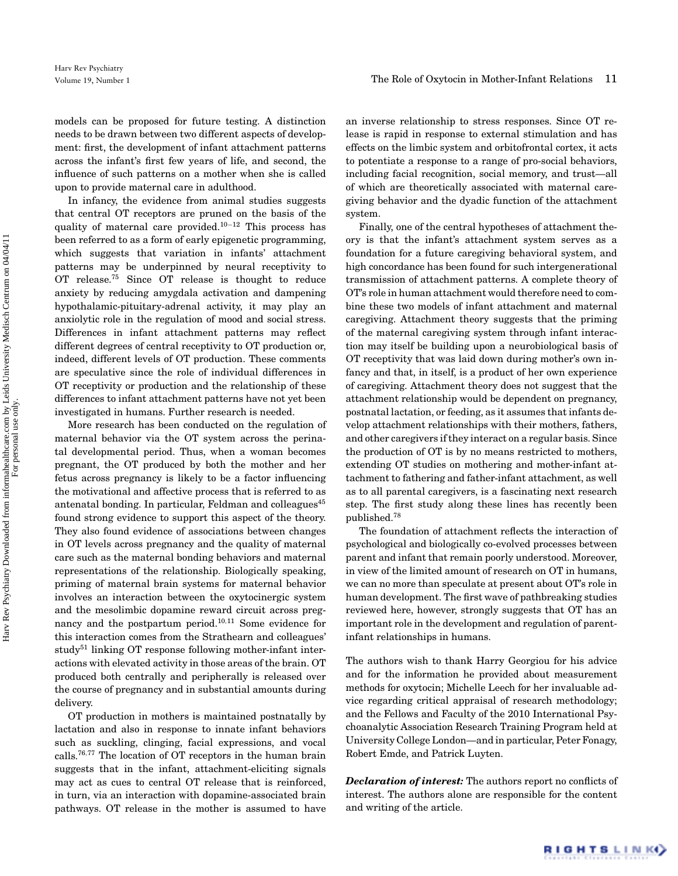models can be proposed for future testing. A distinction needs to be drawn between two different aspects of development: first, the development of infant attachment patterns across the infant's first few years of life, and second, the influence of such patterns on a mother when she is called upon to provide maternal care in adulthood.

In infancy, the evidence from animal studies suggests that central OT receptors are pruned on the basis of the quality of maternal care provided.<sup>10−12</sup> This process has been referred to as a form of early epigenetic programming, which suggests that variation in infants' attachment patterns may be underpinned by neural receptivity to OT release.75 Since OT release is thought to reduce anxiety by reducing amygdala activation and dampening hypothalamic-pituitary-adrenal activity, it may play an anxiolytic role in the regulation of mood and social stress. Differences in infant attachment patterns may reflect different degrees of central receptivity to OT production or, indeed, different levels of OT production. These comments are speculative since the role of individual differences in OT receptivity or production and the relationship of these differences to infant attachment patterns have not yet been investigated in humans. Further research is needed.

More research has been conducted on the regulation of maternal behavior via the OT system across the perinatal developmental period. Thus, when a woman becomes pregnant, the OT produced by both the mother and her fetus across pregnancy is likely to be a factor influencing the motivational and affective process that is referred to as antenatal bonding. In particular, Feldman and colleagues $45$ found strong evidence to support this aspect of the theory. They also found evidence of associations between changes in OT levels across pregnancy and the quality of maternal care such as the maternal bonding behaviors and maternal representations of the relationship. Biologically speaking, priming of maternal brain systems for maternal behavior involves an interaction between the oxytocinergic system and the mesolimbic dopamine reward circuit across pregnancy and the postpartum period.10*,*<sup>11</sup> Some evidence for this interaction comes from the Strathearn and colleagues' study<sup>51</sup> linking OT response following mother-infant interactions with elevated activity in those areas of the brain. OT produced both centrally and peripherally is released over the course of pregnancy and in substantial amounts during delivery.

OT production in mothers is maintained postnatally by lactation and also in response to innate infant behaviors such as suckling, clinging, facial expressions, and vocal calls.76*,*<sup>77</sup> The location of OT receptors in the human brain suggests that in the infant, attachment-eliciting signals may act as cues to central OT release that is reinforced, in turn, via an interaction with dopamine-associated brain pathways. OT release in the mother is assumed to have an inverse relationship to stress responses. Since OT release is rapid in response to external stimulation and has effects on the limbic system and orbitofrontal cortex, it acts to potentiate a response to a range of pro-social behaviors, including facial recognition, social memory, and trust—all of which are theoretically associated with maternal caregiving behavior and the dyadic function of the attachment system.

Finally, one of the central hypotheses of attachment theory is that the infant's attachment system serves as a foundation for a future caregiving behavioral system, and high concordance has been found for such intergenerational transmission of attachment patterns. A complete theory of OT's role in human attachment would therefore need to combine these two models of infant attachment and maternal caregiving. Attachment theory suggests that the priming of the maternal caregiving system through infant interaction may itself be building upon a neurobiological basis of OT receptivity that was laid down during mother's own infancy and that, in itself, is a product of her own experience of caregiving. Attachment theory does not suggest that the attachment relationship would be dependent on pregnancy, postnatal lactation, or feeding, as it assumes that infants develop attachment relationships with their mothers, fathers, and other caregivers if they interact on a regular basis. Since the production of OT is by no means restricted to mothers, extending OT studies on mothering and mother-infant attachment to fathering and father-infant attachment, as well as to all parental caregivers, is a fascinating next research step. The first study along these lines has recently been published.78

The foundation of attachment reflects the interaction of psychological and biologically co-evolved processes between parent and infant that remain poorly understood. Moreover, in view of the limited amount of research on OT in humans, we can no more than speculate at present about OT's role in human development. The first wave of pathbreaking studies reviewed here, however, strongly suggests that OT has an important role in the development and regulation of parentinfant relationships in humans.

The authors wish to thank Harry Georgiou for his advice and for the information he provided about measurement methods for oxytocin; Michelle Leech for her invaluable advice regarding critical appraisal of research methodology; and the Fellows and Faculty of the 2010 International Psychoanalytic Association Research Training Program held at University College London—and in particular, Peter Fonagy, Robert Emde, and Patrick Luyten.

*Declaration of interest:* The authors report no conflicts of interest. The authors alone are responsible for the content and writing of the article.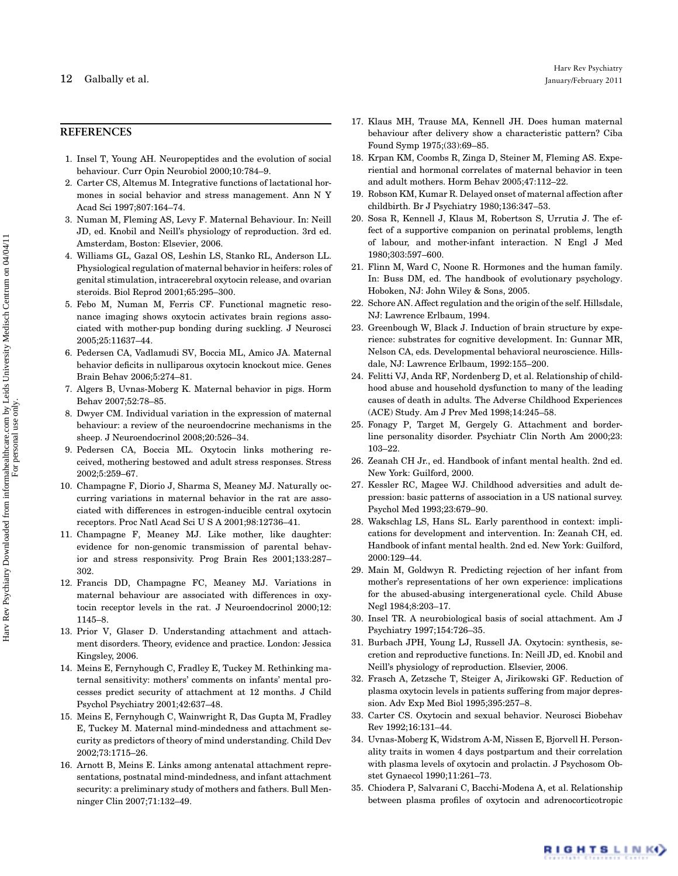# **REFERENCES**

- 1. Insel T, Young AH. Neuropeptides and the evolution of social behaviour. Curr Opin Neurobiol 2000;10:784–9.
- 2. Carter CS, Altemus M. Integrative functions of lactational hormones in social behavior and stress management. Ann N Y Acad Sci 1997;807:164–74.
- 3. Numan M, Fleming AS, Levy F. Maternal Behaviour. In: Neill JD, ed. Knobil and Neill's physiology of reproduction. 3rd ed. Amsterdam, Boston: Elsevier, 2006.
- 4. Williams GL, Gazal OS, Leshin LS, Stanko RL, Anderson LL. Physiological regulation of maternal behavior in heifers: roles of genital stimulation, intracerebral oxytocin release, and ovarian steroids. Biol Reprod 2001;65:295–300.
- 5. Febo M, Numan M, Ferris CF. Functional magnetic resonance imaging shows oxytocin activates brain regions associated with mother-pup bonding during suckling. J Neurosci 2005;25:11637–44.
- 6. Pedersen CA, Vadlamudi SV, Boccia ML, Amico JA. Maternal behavior deficits in nulliparous oxytocin knockout mice. Genes Brain Behav 2006;5:274–81.
- 7. Algers B, Uvnas-Moberg K. Maternal behavior in pigs. Horm Behav 2007;52:78–85.
- 8. Dwyer CM. Individual variation in the expression of maternal behaviour: a review of the neuroendocrine mechanisms in the sheep. J Neuroendocrinol 2008;20:526–34.
- 9. Pedersen CA, Boccia ML. Oxytocin links mothering received, mothering bestowed and adult stress responses. Stress 2002;5:259–67.
- 10. Champagne F, Diorio J, Sharma S, Meaney MJ. Naturally occurring variations in maternal behavior in the rat are associated with differences in estrogen-inducible central oxytocin receptors. Proc Natl Acad Sci U S A 2001;98:12736–41.
- 11. Champagne F, Meaney MJ. Like mother, like daughter: evidence for non-genomic transmission of parental behavior and stress responsivity. Prog Brain Res 2001;133:287– 302.
- 12. Francis DD, Champagne FC, Meaney MJ. Variations in maternal behaviour are associated with differences in oxytocin receptor levels in the rat. J Neuroendocrinol 2000;12: 1145–8.
- 13. Prior V, Glaser D. Understanding attachment and attachment disorders. Theory, evidence and practice. London: Jessica Kingsley, 2006.
- 14. Meins E, Fernyhough C, Fradley E, Tuckey M. Rethinking maternal sensitivity: mothers' comments on infants' mental processes predict security of attachment at 12 months. J Child Psychol Psychiatry 2001;42:637–48.
- 15. Meins E, Fernyhough C, Wainwright R, Das Gupta M, Fradley E, Tuckey M. Maternal mind-mindedness and attachment security as predictors of theory of mind understanding. Child Dev 2002;73:1715–26.
- 16. Arnott B, Meins E. Links among antenatal attachment representations, postnatal mind-mindedness, and infant attachment security: a preliminary study of mothers and fathers. Bull Menninger Clin 2007;71:132–49.
- 17. Klaus MH, Trause MA, Kennell JH. Does human maternal behaviour after delivery show a characteristic pattern? Ciba Found Symp 1975;(33):69–85.
- 18. Krpan KM, Coombs R, Zinga D, Steiner M, Fleming AS. Experiential and hormonal correlates of maternal behavior in teen and adult mothers. Horm Behav 2005;47:112–22.
- 19. Robson KM, Kumar R. Delayed onset of maternal affection after childbirth. Br J Psychiatry 1980;136:347–53.
- 20. Sosa R, Kennell J, Klaus M, Robertson S, Urrutia J. The effect of a supportive companion on perinatal problems, length of labour, and mother-infant interaction. N Engl J Med 1980;303:597–600.
- 21. Flinn M, Ward C, Noone R. Hormones and the human family. In: Buss DM, ed. The handbook of evolutionary psychology. Hoboken, NJ: John Wiley & Sons, 2005.
- 22. Schore AN. Affect regulation and the origin of the self. Hillsdale, NJ: Lawrence Erlbaum, 1994.
- 23. Greenbough W, Black J. Induction of brain structure by experience: substrates for cognitive development. In: Gunnar MR, Nelson CA, eds. Developmental behavioral neuroscience. Hillsdale, NJ: Lawrence Erlbaum, 1992:155–200.
- 24. Felitti VJ, Anda RF, Nordenberg D, et al. Relationship of childhood abuse and household dysfunction to many of the leading causes of death in adults. The Adverse Childhood Experiences (ACE) Study. Am J Prev Med 1998;14:245–58.
- 25. Fonagy P, Target M, Gergely G. Attachment and borderline personality disorder. Psychiatr Clin North Am 2000;23: 103–22.
- 26. Zeanah CH Jr., ed. Handbook of infant mental health. 2nd ed. New York: Guilford, 2000.
- 27. Kessler RC, Magee WJ. Childhood adversities and adult depression: basic patterns of association in a US national survey. Psychol Med 1993;23:679–90.
- 28. Wakschlag LS, Hans SL. Early parenthood in context: implications for development and intervention. In: Zeanah CH, ed. Handbook of infant mental health. 2nd ed. New York: Guilford, 2000:129–44.
- 29. Main M, Goldwyn R. Predicting rejection of her infant from mother's representations of her own experience: implications for the abused-abusing intergenerational cycle. Child Abuse Negl 1984;8:203–17.
- 30. Insel TR. A neurobiological basis of social attachment. Am J Psychiatry 1997;154:726–35.
- 31. Burbach JPH, Young LJ, Russell JA. Oxytocin: synthesis, secretion and reproductive functions. In: Neill JD, ed. Knobil and Neill's physiology of reproduction. Elsevier, 2006.
- 32. Frasch A, Zetzsche T, Steiger A, Jirikowski GF. Reduction of plasma oxytocin levels in patients suffering from major depression. Adv Exp Med Biol 1995;395:257–8.
- 33. Carter CS. Oxytocin and sexual behavior. Neurosci Biobehav Rev 1992;16:131–44.
- 34. Uvnas-Moberg K, Widstrom A-M, Nissen E, Bjorvell H. Personality traits in women 4 days postpartum and their correlation with plasma levels of oxytocin and prolactin. J Psychosom Obstet Gynaecol 1990;11:261–73.
- 35. Chiodera P, Salvarani C, Bacchi-Modena A, et al. Relationship between plasma profiles of oxytocin and adrenocorticotropic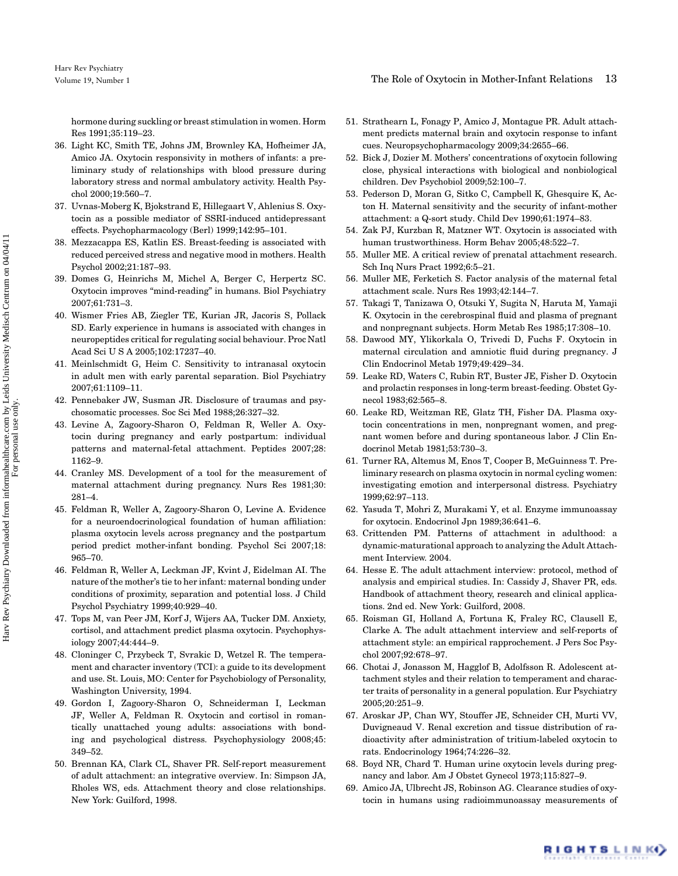hormone during suckling or breast stimulation in women. Horm Res 1991;35:119–23.

- 36. Light KC, Smith TE, Johns JM, Brownley KA, Hofheimer JA, Amico JA. Oxytocin responsivity in mothers of infants: a preliminary study of relationships with blood pressure during laboratory stress and normal ambulatory activity. Health Psychol 2000;19:560–7.
- 37. Uvnas-Moberg K, Bjokstrand E, Hillegaart V, Ahlenius S. Oxytocin as a possible mediator of SSRI-induced antidepressant effects. Psychopharmacology (Berl) 1999;142:95–101.
- 38. Mezzacappa ES, Katlin ES. Breast-feeding is associated with reduced perceived stress and negative mood in mothers. Health Psychol 2002;21:187–93.
- 39. Domes G, Heinrichs M, Michel A, Berger C, Herpertz SC. Oxytocin improves "mind-reading" in humans. Biol Psychiatry 2007;61:731–3.
- 40. Wismer Fries AB, Ziegler TE, Kurian JR, Jacoris S, Pollack SD. Early experience in humans is associated with changes in neuropeptides critical for regulating social behaviour. Proc Natl Acad Sci U S A 2005;102:17237–40.
- 41. Meinlschmidt G, Heim C. Sensitivity to intranasal oxytocin in adult men with early parental separation. Biol Psychiatry 2007;61:1109–11.
- 42. Pennebaker JW, Susman JR. Disclosure of traumas and psychosomatic processes. Soc Sci Med 1988;26:327–32.
- 43. Levine A, Zagoory-Sharon O, Feldman R, Weller A. Oxytocin during pregnancy and early postpartum: individual patterns and maternal-fetal attachment. Peptides 2007;28: 1162–9.
- 44. Cranley MS. Development of a tool for the measurement of maternal attachment during pregnancy. Nurs Res 1981;30: 281–4.
- 45. Feldman R, Weller A, Zagoory-Sharon O, Levine A. Evidence for a neuroendocrinological foundation of human affiliation: plasma oxytocin levels across pregnancy and the postpartum period predict mother-infant bonding. Psychol Sci 2007;18: 965–70.
- 46. Feldman R, Weller A, Leckman JF, Kvint J, Eidelman AI. The nature of the mother's tie to her infant: maternal bonding under conditions of proximity, separation and potential loss. J Child Psychol Psychiatry 1999;40:929–40.
- 47. Tops M, van Peer JM, Korf J, Wijers AA, Tucker DM. Anxiety, cortisol, and attachment predict plasma oxytocin. Psychophysiology 2007;44:444–9.
- 48. Cloninger C, Przybeck T, Svrakic D, Wetzel R. The temperament and character inventory (TCI): a guide to its development and use. St. Louis, MO: Center for Psychobiology of Personality, Washington University, 1994.
- 49. Gordon I, Zagoory-Sharon O, Schneiderman I, Leckman JF, Weller A, Feldman R. Oxytocin and cortisol in romantically unattached young adults: associations with bonding and psychological distress. Psychophysiology 2008;45: 349–52.
- 50. Brennan KA, Clark CL, Shaver PR. Self-report measurement of adult attachment: an integrative overview. In: Simpson JA, Rholes WS, eds. Attachment theory and close relationships. New York: Guilford, 1998.
- 51. Strathearn L, Fonagy P, Amico J, Montague PR. Adult attachment predicts maternal brain and oxytocin response to infant cues. Neuropsychopharmacology 2009;34:2655–66.
- 52. Bick J, Dozier M. Mothers' concentrations of oxytocin following close, physical interactions with biological and nonbiological children. Dev Psychobiol 2009;52:100–7.
- 53. Pederson D, Moran G, Sitko C, Campbell K, Ghesquire K, Acton H. Maternal sensitivity and the security of infant-mother attachment: a Q-sort study. Child Dev 1990;61:1974–83.
- 54. Zak PJ, Kurzban R, Matzner WT. Oxytocin is associated with human trustworthiness. Horm Behav 2005;48:522–7.
- 55. Muller ME. A critical review of prenatal attachment research. Sch Inq Nurs Pract 1992;6:5–21.
- 56. Muller ME, Ferketich S. Factor analysis of the maternal fetal attachment scale. Nurs Res 1993;42:144–7.
- 57. Takagi T, Tanizawa O, Otsuki Y, Sugita N, Haruta M, Yamaji K. Oxytocin in the cerebrospinal fluid and plasma of pregnant and nonpregnant subjects. Horm Metab Res 1985;17:308–10.
- 58. Dawood MY, Ylikorkala O, Trivedi D, Fuchs F. Oxytocin in maternal circulation and amniotic fluid during pregnancy. J Clin Endocrinol Metab 1979;49:429–34.
- 59. Leake RD, Waters C, Rubin RT, Buster JE, Fisher D. Oxytocin and prolactin responses in long-term breast-feeding. Obstet Gynecol 1983;62:565–8.
- 60. Leake RD, Weitzman RE, Glatz TH, Fisher DA. Plasma oxytocin concentrations in men, nonpregnant women, and pregnant women before and during spontaneous labor. J Clin Endocrinol Metab 1981;53:730–3.
- 61. Turner RA, Altemus M, Enos T, Cooper B, McGuinness T. Preliminary research on plasma oxytocin in normal cycling women: investigating emotion and interpersonal distress. Psychiatry 1999;62:97–113.
- 62. Yasuda T, Mohri Z, Murakami Y, et al. Enzyme immunoassay for oxytocin. Endocrinol Jpn 1989;36:641–6.
- 63. Crittenden PM. Patterns of attachment in adulthood: a dynamic-maturational approach to analyzing the Adult Attachment Interview. 2004.
- 64. Hesse E. The adult attachment interview: protocol, method of analysis and empirical studies. In: Cassidy J, Shaver PR, eds. Handbook of attachment theory, research and clinical applications. 2nd ed. New York: Guilford, 2008.
- 65. Roisman GI, Holland A, Fortuna K, Fraley RC, Clausell E, Clarke A. The adult attachment interview and self-reports of attachment style: an empirical rapprochement. J Pers Soc Psychol 2007;92:678–97.
- 66. Chotai J, Jonasson M, Hagglof B, Adolfsson R. Adolescent attachment styles and their relation to temperament and character traits of personality in a general population. Eur Psychiatry 2005;20:251–9.
- 67. Aroskar JP, Chan WY, Stouffer JE, Schneider CH, Murti VV, Duvigneaud V. Renal excretion and tissue distribution of radioactivity after administration of tritium-labeled oxytocin to rats. Endocrinology 1964;74:226–32.
- 68. Boyd NR, Chard T. Human urine oxytocin levels during pregnancy and labor. Am J Obstet Gynecol 1973;115:827–9.
- 69. Amico JA, Ulbrecht JS, Robinson AG. Clearance studies of oxytocin in humans using radioimmunoassay measurements of